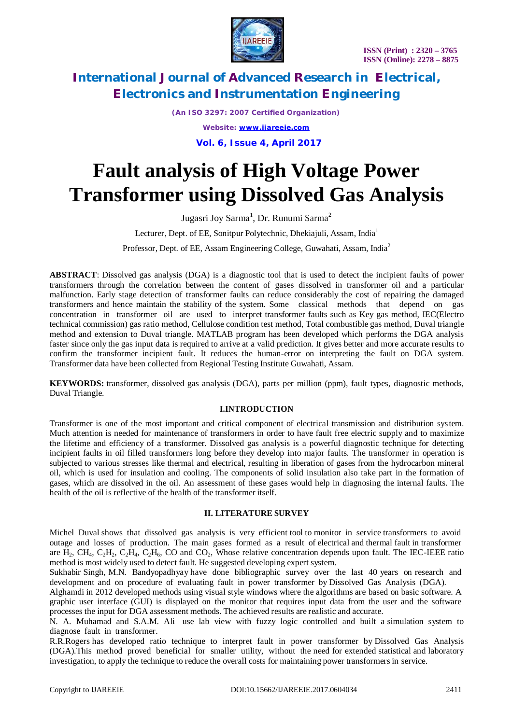

*(An ISO 3297: 2007 Certified Organization)*

*Website: [www.ijareeie.com](http://www.ijareeie.com)*

 **Vol. 6, Issue 4, April 2017**

# **Fault analysis of High Voltage Power Transformer using Dissolved Gas Analysis**

Jugasri Joy Sarma<sup>1</sup>, Dr. Runumi Sarma<sup>2</sup>

Lecturer, Dept. of EE, Sonitpur Polytechnic, Dhekiajuli, Assam, India<sup>1</sup>

Professor, Dept. of EE, Assam Engineering College, Guwahati, Assam, India<sup>2</sup>

**ABSTRACT**: Dissolved gas analysis (DGA) is a diagnostic tool that is used to detect the incipient faults of power transformers through the correlation between the content of gases dissolved in transformer oil and a particular malfunction. Early stage detection of transformer faults can reduce considerably the cost of repairing the damaged transformers and hence maintain the stability of the system. Some classical methods that depend on gas concentration in transformer oil are used to interpret transformer faults such as Key gas method, IEC(Electro technical commission) gas ratio method, Cellulose condition test method, Total combustible gas method, Duval triangle method and extension to Duval triangle. MATLAB program has been developed which performs the DGA analysis faster since only the gas input data is required to arrive at a valid prediction. It gives better and more accurate results to confirm the transformer incipient fault. It reduces the human-error on interpreting the fault on DGA system. Transformer data have been collected from Regional Testing Institute Guwahati, Assam.

**KEYWORDS:** transformer, dissolved gas analysis (DGA), parts per million (ppm), fault types, diagnostic methods, Duval Triangle.

### **I.INTRODUCTION**

Transformer is one of the most important and critical component of electrical transmission and distribution system. Much attention is needed for maintenance of transformers in order to have fault free electric supply and to maximize the lifetime and efficiency of a transformer. Dissolved gas analysis is a powerful diagnostic technique for detecting incipient faults in oil filled transformers long before they develop into major faults. The transformer in operation is subjected to various stresses like thermal and electrical, resulting in liberation of gases from the hydrocarbon mineral oil, which is used for insulation and cooling. The components of solid insulation also take part in the formation of gases, which are dissolved in the oil. An assessment of these gases would help in diagnosing the internal faults. The health of the oil is reflective of the health of the transformer itself.

### **II. LITERATURE SURVEY**

Michel Duval shows that dissolved gas analysis is very efficient tool to monitor in service transformers to avoid outage and losses of production. The main gases formed as a result of electrical and thermal fault in transformer are H2, CH4, C2H2, C2H4, C2H6, CO and CO2, Whose relative concentration depends upon fault. The IEC-IEEE ratio method is most widely used to detect fault. He suggested developing expert system.

Sukhabir Singh, M.N. Bandyopadhyay have done bibliographic survey over the last 40 years on research and development and on procedure of evaluating fault in power transformer by Dissolved Gas Analysis (DGA).

Alghamdi in 2012 developed methods using visual style windows where the algorithms are based on basic software. A graphic user interface (GUI) is displayed on the monitor that requires input data from the user and the software processes the input for DGA assessment methods. The achieved results are realistic and accurate.

N. A. Muhamad and S.A.M. Ali use lab view with fuzzy logic controlled and built a simulation system to diagnose fault in transformer.

R.R.Rogers has developed ratio technique to interpret fault in power transformer by Dissolved Gas Analysis (DGA).This method proved beneficial for smaller utility, without the need for extended statistical and laboratory investigation, to apply the technique to reduce the overall costs for maintaining power transformers in service.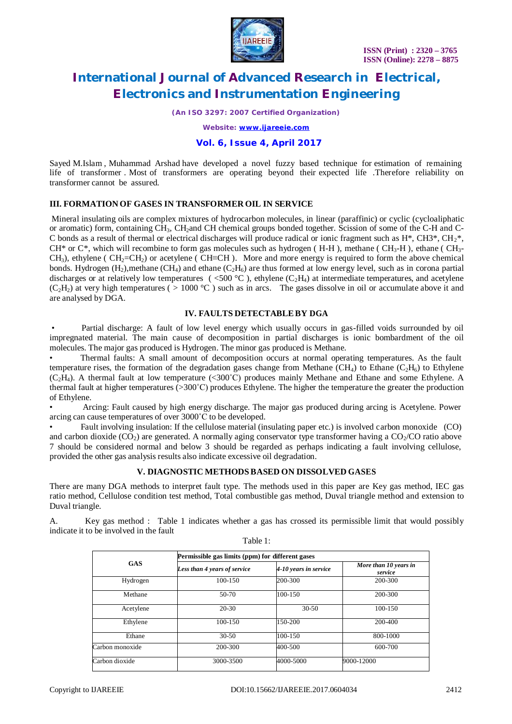

*(An ISO 3297: 2007 Certified Organization)*

*Website: [www.ijareeie.com](http://www.ijareeie.com)*

### **Vol. 6, Issue 4, April 2017**

Sayed M.Islam , Muhammad Arshad have developed a novel fuzzy based technique for estimation of remaining life of transformer . Most of transformers are operating beyond their expected life .Therefore reliability on transformer cannot be assured.

### **III. FORMATION OF GASES IN TRANSFORMER OIL IN SERVICE**

Mineral insulating oils are complex mixtures of hydrocarbon molecules, in linear (paraffinic) or cyclic (cycloaliphatic or aromatic) form, containing CH3, CH2and CH chemical groups bonded together. Scission of some of the C-H and C-C bonds as a result of thermal or electrical discharges will produce radical or ionic fragment such as  $H^*$ ,  $CH3^*$ ,  $CH3^*$ ,  $CH3^*$ ,  $CH^*$  or  $C^*$ , which will recombine to form gas molecules such as hydrogen (H-H), methane (CH<sub>3</sub>-H), ethane (CH<sub>3</sub>- $CH_3$ ), ethylene (  $CH_2=CH_2$ ) or acetylene (  $CH\equiv CH$ ). More and more energy is required to form the above chemical bonds. Hydrogen  $(H_2)$ , methane  $(CH_4)$  and ethane  $(C_2H_6)$  are thus formed at low energy level, such as in corona partial discharges or at relatively low temperatures (  $\lt$  = 500 °C ), ethylene (C<sub>2</sub>H<sub>4</sub>) at intermediate temperatures, and acetylene  $(C_2H_2)$  at very high temperatures (  $> 1000 °C$  ) such as in arcs. The gases dissolve in oil or accumulate above it and are analysed by DGA.

#### **IV. FAULTS DETECTABLEBY DGA**

• Partial discharge: A fault of low level energy which usually occurs in gas-filled voids surrounded by oil impregnated material. The main cause of decomposition in partial discharges is ionic bombardment of the oil molecules. The major gas produced is Hydrogen. The minor gas produced is Methane.

• Thermal faults: A small amount of decomposition occurs at normal operating temperatures. As the fault temperature rises, the formation of the degradation gases change from Methane (CH<sub>4</sub>) to Ethane (C<sub>2</sub>H<sub>6</sub>) to Ethylene  $(C_2H_4)$ . A thermal fault at low temperature (<300°C) produces mainly Methane and Ethane and some Ethylene. A thermal fault at higher temperatures (>300˚C) produces Ethylene. The higher the temperature the greater the production of Ethylene.

• Arcing: Fault caused by high energy discharge. The major gas produced during arcing is Acetylene. Power arcing can cause temperatures of over 3000˚C to be developed.

• Fault involving insulation: If the cellulose material (insulating paper etc.) is involved carbon monoxide (CO) and carbon dioxide  $(CO<sub>2</sub>)$  are generated. A normally aging conservator type transformer having a  $CO<sub>2</sub>/CO$  ratio above 7 should be considered normal and below 3 should be regarded as perhaps indicating a fault involving cellulose, provided the other gas analysis results also indicate excessive oil degradation.

#### **V. DIAGNOSTIC METHODSBASED ON DISSOLVED GASES**

There are many DGA methods to interpret fault type. The methods used in this paper are Key gas method, IEC gas ratio method, Cellulose condition test method, Total combustible gas method, Duval triangle method and extension to Duval triangle.

A. Key gas method : Table 1 indicates whether a gas has crossed its permissible limit that would possibly indicate it to be involved in the fault Table 1:

> **GAS Permissible gas limits (ppm) for different gases** *Less than 4 years of service 4-10 years in service More than 10 years in service* Hydrogen 100-150 200-300 200-300 Methane 1 50-70 100-150 200-300 Acetylene 20-30 30-50 100-150 Ethylene | 100-150 150-200 | 200-400 Ethane 100-150 100-150 800-1000 Carbon monoxide 200-300 400-500 600-700 Carbon dioxide 3000-3500 4000-5000 9000-12000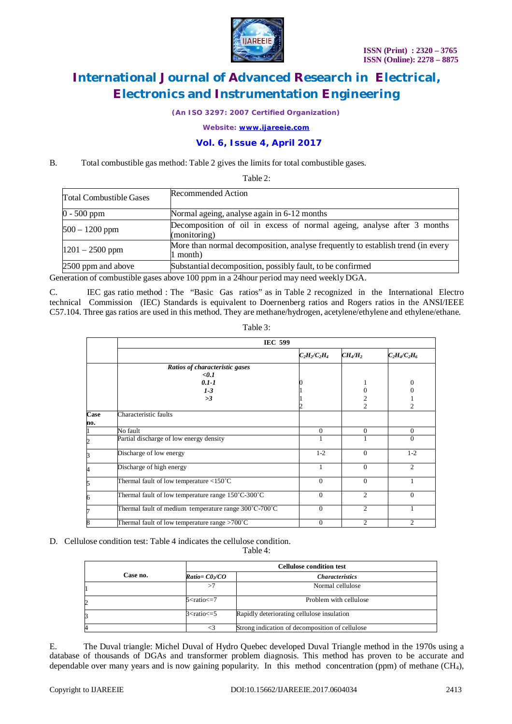

*(An ISO 3297: 2007 Certified Organization)*

*Website: [www.ijareeie.com](http://www.ijareeie.com)*

### **Vol. 6, Issue 4, April 2017**

B. Total combustible gas method: Table 2 gives the limits for total combustible gases.

Table 2:

| <b>Total Combustible Gases</b> | Recommended Action                                                                          |
|--------------------------------|---------------------------------------------------------------------------------------------|
| $0 - 500$ ppm                  | Normal ageing, analyse again in 6-12 months                                                 |
| $500 - 1200$ ppm               | Decomposition of oil in excess of normal ageing, analyse after 3 months<br>(monitoring)     |
| $1201 - 2500$ ppm              | More than normal decomposition, analyse frequently to establish trend (in every<br>1 month) |
| 2500 ppm and above             | Substantial decomposition, possibly fault, to be confirmed                                  |

Generation of combustible gases above 100 ppm in a 24hour period may need weekly DGA.

C. IEC gas ratio method : The "Basic Gas ratios" as in Table 2 recognized in the International Electro technical Commission (IEC) Standards is equivalent to Doernenberg ratios and Rogers ratios in the ANSI/IEEE C57.104. Three gas ratios are used in this method. They are methane/hydrogen, acetylene/ethylene and ethylene/ethane.

|             | <b>IEC 599</b>                                                        |                 |                |                 |  |  |  |  |
|-------------|-----------------------------------------------------------------------|-----------------|----------------|-----------------|--|--|--|--|
|             |                                                                       | $C_2H_2/C_2H_4$ | $CH_4/H_2$     | $C_2H_4/C_2H_6$ |  |  |  |  |
|             | Ratios of characteristic gases<br>$0.1$<br>$0.1 - 1$<br>$1 - 3$<br>>3 |                 |                | 0               |  |  |  |  |
|             |                                                                       |                 | $\mathfrak{D}$ | 2               |  |  |  |  |
| Case<br>no. | Characteristic faults                                                 |                 |                |                 |  |  |  |  |
|             | No fault                                                              | $\Omega$        | $\Omega$       | $\Omega$        |  |  |  |  |
| 2           | Partial discharge of low energy density                               |                 |                | $\Omega$        |  |  |  |  |
| 3           | Discharge of low energy                                               | $1-2$           | $\Omega$       | $1-2$           |  |  |  |  |
|             | Discharge of high energy                                              | 1               | $\Omega$       | $\mathfrak{D}$  |  |  |  |  |
| 5           | Thermal fault of low temperature $\langle 150^{\circ}$ C              | $\Omega$        | $\Omega$       |                 |  |  |  |  |
| 6           | Thermal fault of low temperature range 150°C-300°C                    | $\Omega$        | $\mathfrak{D}$ | $\Omega$        |  |  |  |  |
|             | Thermal fault of medium temperature range 300°C-700°C                 | $\Omega$        | 2              |                 |  |  |  |  |
| 8           | Thermal fault of low temperature range >700°C                         | $\theta$        | 2              | $\overline{c}$  |  |  |  |  |

Table 3:

### D. Cellulose condition test: Table 4 indicates the cellulose condition.

Table 4:

|    |          |                             | <b>Cellulose condition test</b>                 |  |  |  |  |
|----|----------|-----------------------------|-------------------------------------------------|--|--|--|--|
|    | Case no. | $Ratio = C0 \, \text{/} CO$ | <i>Characteristics</i>                          |  |  |  |  |
| >7 |          |                             | Normal cellulose                                |  |  |  |  |
|    |          | $5$ cratio $\epsilon$ = 7   | Problem with cellulose                          |  |  |  |  |
|    |          | $3$ < ratio $\leq$ = 5      | Rapidly deteriorating cellulose insulation      |  |  |  |  |
|    |          |                             | Strong indication of decomposition of cellulose |  |  |  |  |

E. The Duval triangle: Michel Duval of Hydro Quebec developed Duval Triangle method in the 1970s using a database of thousands of DGAs and transformer problem diagnosis. This method has proven to be accurate and dependable over many years and is now gaining popularity. In this method concentration (ppm) of methane (CH<sub>4</sub>),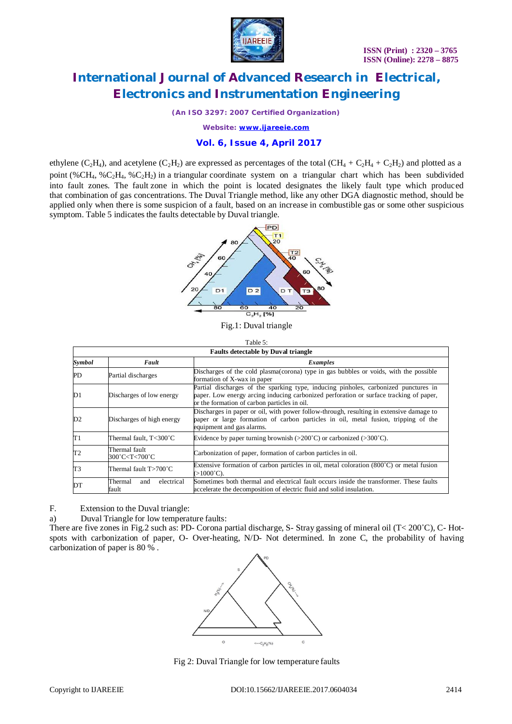

*(An ISO 3297: 2007 Certified Organization)*

*Website: [www.ijareeie.com](http://www.ijareeie.com)*

### **Vol. 6, Issue 4, April 2017**

ethylene (C<sub>2</sub>H<sub>4</sub>), and acetylene (C<sub>2</sub>H<sub>2</sub>) are expressed as percentages of the total (CH<sub>4</sub> + C<sub>2</sub>H<sub>4</sub> + C<sub>2</sub>H<sub>2</sub>) and plotted as a point (%CH<sub>4</sub>, %C<sub>2</sub>H<sub>4</sub>, %C<sub>2</sub>H<sub>2</sub>) in a triangular coordinate system on a triangular chart which has been subdivided into fault zones. The fault zone in which the point is located designates the likely fault type which produced that combination of gas concentrations. The Duval Triangle method, like any other DGA diagnostic method, should be applied only when there is some suspicion of a fault, based on an increase in combustible gas or some other suspicious symptom. Table 5 indicates the faults detectable by Duval triangle.



Fig.1: Duval triangle

| <b>Faults detectable by Duval triangle</b> |                                                                                                                          |                                                                                                                                                                                                                               |  |  |  |  |
|--------------------------------------------|--------------------------------------------------------------------------------------------------------------------------|-------------------------------------------------------------------------------------------------------------------------------------------------------------------------------------------------------------------------------|--|--|--|--|
| Symbol                                     | Fault                                                                                                                    | Examples                                                                                                                                                                                                                      |  |  |  |  |
| PD                                         | Partial discharges                                                                                                       | Discharges of the cold plasma (corona) type in gas bubbles or voids, with the possible<br>formation of X-wax in paper                                                                                                         |  |  |  |  |
| D1                                         | Discharges of low energy                                                                                                 | Partial discharges of the sparking type, inducing pinholes, carbonized punctures in<br>paper. Low energy arcing inducing carbonized perforation or surface tracking of paper,<br>or the formation of carbon particles in oil. |  |  |  |  |
| D2                                         | Discharges of high energy                                                                                                | Discharges in paper or oil, with power follow-through, resulting in extensive damage to<br>paper or large formation of carbon particles in oil, metal fusion, tripping of the<br>equipment and gas alarms.                    |  |  |  |  |
| T1                                         | Thermal fault, T<300°C                                                                                                   | Evidence by paper turning brownish ( $>200^{\circ}$ C) or carbonized ( $>300^{\circ}$ C).                                                                                                                                     |  |  |  |  |
| T2                                         | Thermal fault<br>300°C <t<700°c< td=""><td>Carbonization of paper, formation of carbon particles in oil.</td></t<700°c<> | Carbonization of paper, formation of carbon particles in oil.                                                                                                                                                                 |  |  |  |  |
| T3                                         | Thermal fault T>700°C                                                                                                    | Extensive formation of carbon particles in oil, metal coloration $(800^{\circ}C)$ or metal fusion<br>$(>1000^{\circ}C)$ .                                                                                                     |  |  |  |  |
| DT                                         | electrical<br>Thermal<br>and<br>fault                                                                                    | Sometimes both thermal and electrical fault occurs inside the transformer. These faults<br>accelerate the decomposition of electric fluid and solid insulation.                                                               |  |  |  |  |

F. Extension to the Duval triangle:

a) Duval Triangle for low temperature faults:

There are five zones in Fig.2 such as: PD- Corona partial discharge, S- Stray gassing of mineral oil ( $T < 200^{\circ}$ C), C- Hotspots with carbonization of paper, O- Over-heating, N/D- Not determined. In zone C, the probability of having carbonization of paper is 80 % .



Fig 2: Duval Triangle for low temperature faults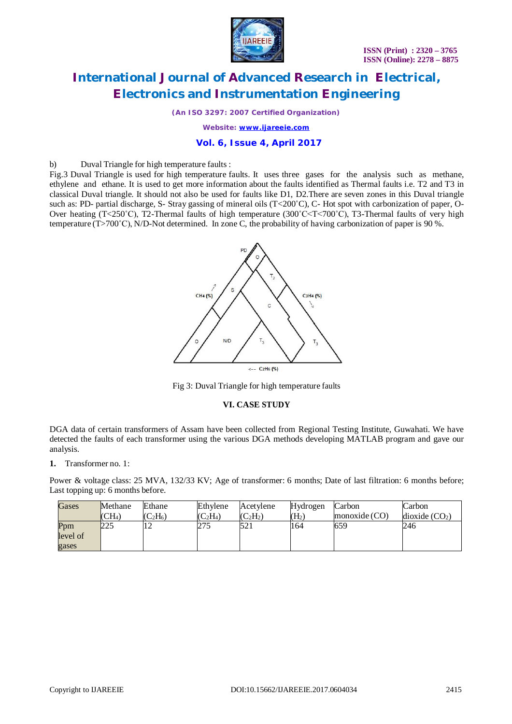

*(An ISO 3297: 2007 Certified Organization)*

*Website: [www.ijareeie.com](http://www.ijareeie.com)*

### **Vol. 6, Issue 4, April 2017**

b) Duval Triangle for high temperature faults :

Fig.3 Duval Triangle is used for high temperature faults. It uses three gases for the analysis such as methane, ethylene and ethane. It is used to get more information about the faults identified as Thermal faults i.e. T2 and T3 in classical Duval triangle. It should not also be used for faults like D1, D2.There are seven zones in this Duval triangle such as: PD- partial discharge, S- Stray gassing of mineral oils (T<200°C), C- Hot spot with carbonization of paper, O-Over heating (T<250°C), T2-Thermal faults of high temperature (300°C $\lt$ T $\lt$ 700°C), T3-Thermal faults of very high temperature (T>700˚C), N/D-Not determined. In zone C, the probability of having carbonization of paper is 90 %.



Fig 3: Duval Triangle for high temperature faults

#### **VI. CASE STUDY**

DGA data of certain transformers of Assam have been collected from Regional Testing Institute, Guwahati. We have detected the faults of each transformer using the various DGA methods developing MATLAB program and gave our analysis.

**1.** Transformer no. 1:

Power & voltage class: 25 MVA, 132/33 KV; Age of transformer: 6 months; Date of last filtration: 6 months before; Last topping up: 6 months before.

| <b>Gases</b> | Methane          | Ethane                                      | Ethylene   | Acetylene  | Hydrogen          | Carbon          | Carbon                     |
|--------------|------------------|---------------------------------------------|------------|------------|-------------------|-----------------|----------------------------|
|              | $\mathsf{ICH}_4$ | $^{\prime}$ C <sub>2</sub> H <sub>6</sub> ) | $(C_2H_4)$ | $(C_2H_2)$ | (H <sub>2</sub> ) | monoxide $(CO)$ | dioxide (CO <sub>2</sub> ) |
| Ppm          | 225              | ∸                                           | 275        | 521        | 164               | 659             | 246                        |
| level of     |                  |                                             |            |            |                   |                 |                            |
| gases        |                  |                                             |            |            |                   |                 |                            |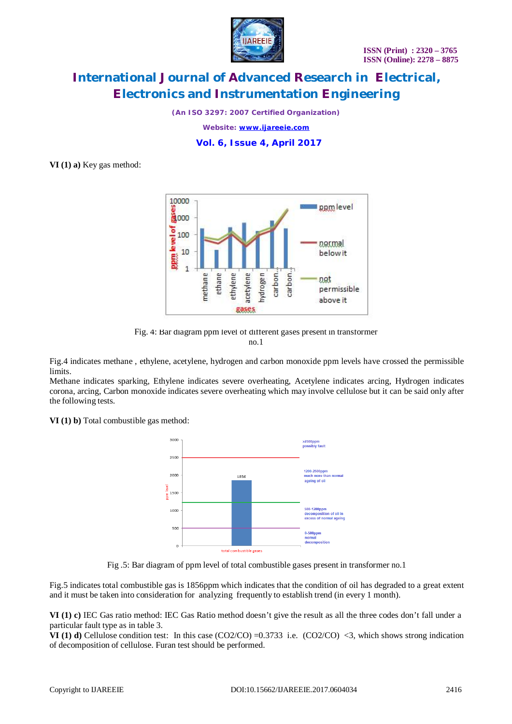

*(An ISO 3297: 2007 Certified Organization)*

*Website: [www.ijareeie.com](http://www.ijareeie.com)*

 **Vol. 6, Issue 4, April 2017**

**VI (1) a)** Key gas method:



Fig. 4: Bar diagram ppm level of different gases present in transformer no.1

Fig.4 indicates methane , ethylene, acetylene, hydrogen and carbon monoxide ppm levels have crossed the permissible limits.

Methane indicates sparking, Ethylene indicates severe overheating, Acetylene indicates arcing, Hydrogen indicates corona, arcing, Carbon monoxide indicates severe overheating which may involve cellulose but it can be said only after the following tests.

**VI (1) b)** Total combustible gas method:



Fig .5: Bar diagram of ppm level of total combustible gases present in transformer no.1

Fig.5 indicates total combustible gas is 1856ppm which indicates that the condition of oil has degraded to a great extent and it must be taken into consideration for analyzing frequently to establish trend (in every 1 month).

**VI (1) c)** IEC Gas ratio method: IEC Gas Ratio method doesn't give the result as all the three codes don't fall under a particular fault type as in table 3.

**VI** (1) **d**) Cellulose condition test: In this case  $(CO2/CO) = 0.3733$  i.e.  $(CO2/CO) < 3$ , which shows strong indication of decomposition of cellulose. Furan test should be performed.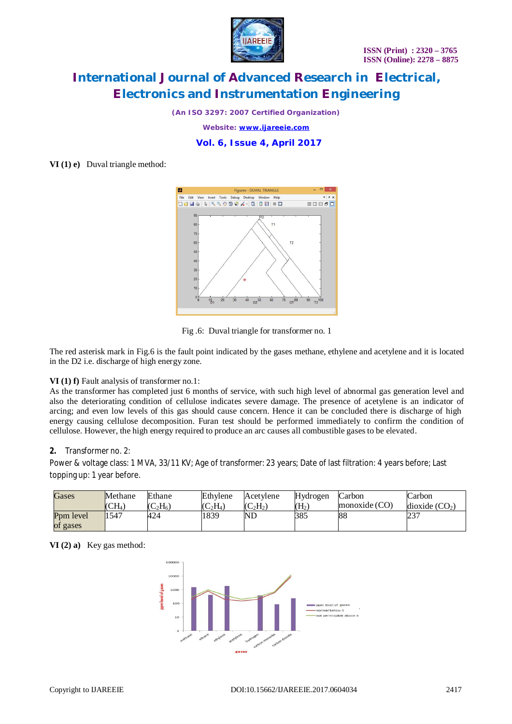

*(An ISO 3297: 2007 Certified Organization)*

*Website: [www.ijareeie.com](http://www.ijareeie.com)*

 **Vol. 6, Issue 4, April 2017**

**VI (1) e)** Duval triangle method:





The red asterisk mark in Fig.6 is the fault point indicated by the gases methane, ethylene and acetylene and it is located in the D2 i.e. discharge of high energy zone.

#### **VI (1) f)** Fault analysis of transformer no.1:

As the transformer has completed just 6 months of service, with such high level of abnormal gas generation level and also the deteriorating condition of cellulose indicates severe damage. The presence of acetylene is an indicator of arcing; and even low levels of this gas should cause concern. Hence it can be concluded there is discharge of high energy causing cellulose decomposition. Furan test should be performed immediately to confirm the condition of cellulose. However, the high energy required to produce an arc causes all combustible gases to be elevated.

#### **2.** Transformer no. 2:

Power & voltage class: 1 MVA, 33/11 KV; Age of transformer: 23 years; Date of last filtration: 4 years before; Last topping up: 1 year before.

| Gases     | Methane        | Ethane     | Ethylene            | Acetylene                  | Hydrogen | Carbon          | Carbon          |
|-----------|----------------|------------|---------------------|----------------------------|----------|-----------------|-----------------|
|           | $\rm (CH_{4})$ | $(C_2H_6)$ | ${}^{\prime}C_2H_4$ | $(C_2H_2)$                 | $(H_2)$  | monoxide $(CO)$ | dioxide $(CO2)$ |
| Ppm level | 1547           | 424        | 1839                | $\mathop{\rm ND}\nolimits$ | 385      | 88              | ر_ر             |
| of gases  |                |            |                     |                            |          |                 |                 |

**VI (2) a)** Key gas method:

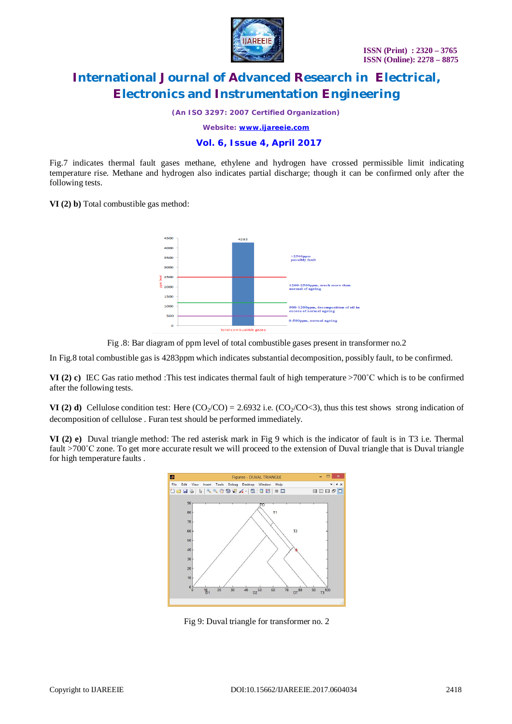

*(An ISO 3297: 2007 Certified Organization)*

*Website: [www.ijareeie.com](http://www.ijareeie.com)*

### **Vol. 6, Issue 4, April 2017**

Fig.7 indicates thermal fault gases methane, ethylene and hydrogen have crossed permissible limit indicating temperature rise. Methane and hydrogen also indicates partial discharge; though it can be confirmed only after the following tests.

**VI (2) b)** Total combustible gas method:





In Fig.8 total combustible gas is 4283ppm which indicates substantial decomposition, possibly fault, to be confirmed.

**VI** (2) **c)** IEC Gas ratio method :This test indicates thermal fault of high temperature  $>700^{\circ}$ C which is to be confirmed after the following tests.

**VI** (2) **d**) Cellulose condition test: Here  $(CO_2/CO) = 2.6932$  i.e.  $(CO_2/CO < 3)$ , thus this test shows strong indication of decomposition of cellulose . Furan test should be performed immediately.

**VI (2) e)** Duval triangle method: The red asterisk mark in Fig 9 which is the indicator of fault is in T3 i.e. Thermal fault >700°C zone. To get more accurate result we will proceed to the extension of Duval triangle that is Duval triangle for high temperature faults .



Fig 9: Duval triangle for transformer no. 2